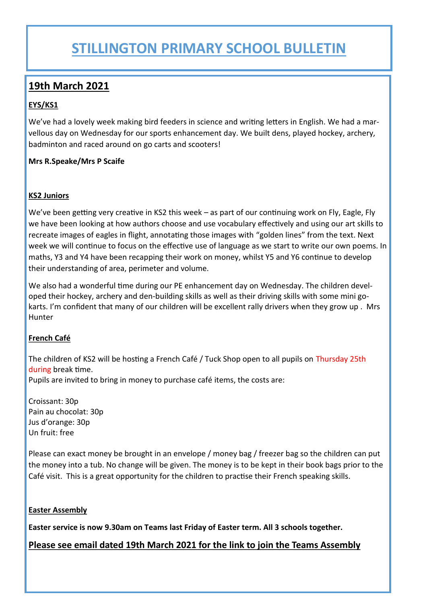## **STILLINGTON PRIMARY SCHOOL BULLETIN**

### **19th March 2021**

#### **EYS/KS1**

We've had a lovely week making bird feeders in science and writing letters in English. We had a marvellous day on Wednesday for our sports enhancement day. We built dens, played hockey, archery, badminton and raced around on go carts and scooters!

#### **Mrs R.Speake/Mrs P Scaife**

#### **KS2 Juniors**

We've been getting very creative in KS2 this week – as part of our continuing work on Fly, Eagle, Fly we have been looking at how authors choose and use vocabulary effectively and using our art skills to recreate images of eagles in flight, annotating those images with "golden lines" from the text. Next week we will continue to focus on the effective use of language as we start to write our own poems. In maths, Y3 and Y4 have been recapping their work on money, whilst Y5 and Y6 continue to develop their understanding of area, perimeter and volume.

We also had a wonderful time during our PE enhancement day on Wednesday. The children developed their hockey, archery and den-building skills as well as their driving skills with some mini gokarts. I'm confident that many of our children will be excellent rally drivers when they grow up . Mrs Hunter

#### **French Café**

The children of KS2 will be hosting a French Café / Tuck Shop open to all pupils on Thursday 25th during break time.

Pupils are invited to bring in money to purchase café items, the costs are:

Croissant: 30p Pain au chocolat: 30p Jus d'orange: 30p Un fruit: free

Please can exact money be brought in an envelope / money bag / freezer bag so the children can put the money into a tub. No change will be given. The money is to be kept in their book bags prior to the Café visit. This is a great opportunity for the children to practise their French speaking skills.

#### **Easter Assembly**

**Easter service is now 9.30am on Teams last Friday of Easter term. All 3 schools together.** 

#### **Please see email dated 19th March 2021 for the link to join the Teams Assembly**